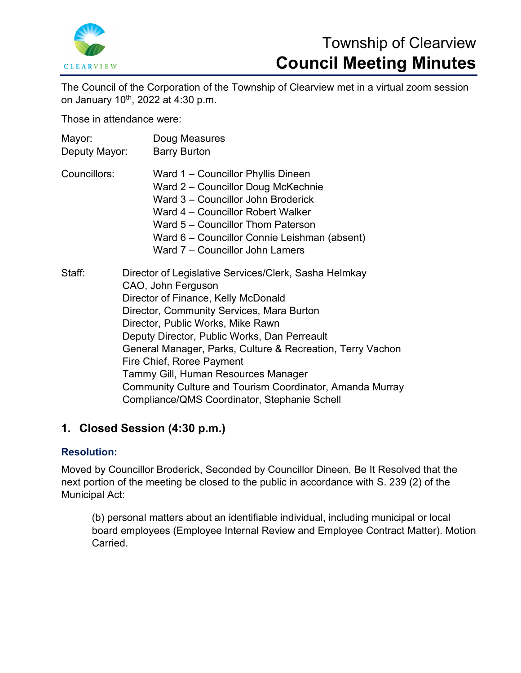

# Township of Clearview **Council Meeting Minutes**

The Council of the Corporation of the Township of Clearview met in a virtual zoom session on January 10<sup>th</sup>, 2022 at 4:30 p.m.

Those in attendance were:

| Mayor:<br>Deputy Mayor: | Doug Measures<br><b>Barry Burton</b>                                                                                                                                                                                                                                                                                                                                                                                                                                                               |
|-------------------------|----------------------------------------------------------------------------------------------------------------------------------------------------------------------------------------------------------------------------------------------------------------------------------------------------------------------------------------------------------------------------------------------------------------------------------------------------------------------------------------------------|
| Councillors:            | Ward 1 – Councillor Phyllis Dineen<br>Ward 2 – Councillor Doug McKechnie<br>Ward 3 – Councillor John Broderick<br>Ward 4 – Councillor Robert Walker<br>Ward 5 – Councillor Thom Paterson<br>Ward 6 - Councillor Connie Leishman (absent)<br>Ward 7 – Councillor John Lamers                                                                                                                                                                                                                        |
| Staff:                  | Director of Legislative Services/Clerk, Sasha Helmkay<br>CAO, John Ferguson<br>Director of Finance, Kelly McDonald<br>Director, Community Services, Mara Burton<br>Director, Public Works, Mike Rawn<br>Deputy Director, Public Works, Dan Perreault<br>General Manager, Parks, Culture & Recreation, Terry Vachon<br>Fire Chief, Roree Payment<br>Tammy Gill, Human Resources Manager<br>Community Culture and Tourism Coordinator, Amanda Murray<br>Compliance/QMS Coordinator, Stephanie Schell |

# **1. Closed Session (4:30 p.m.)**

### **Resolution:**

Moved by Councillor Broderick, Seconded by Councillor Dineen, Be It Resolved that the next portion of the meeting be closed to the public in accordance with S. 239 (2) of the Municipal Act:

(b) personal matters about an identifiable individual, including municipal or local board employees (Employee Internal Review and Employee Contract Matter). Motion Carried.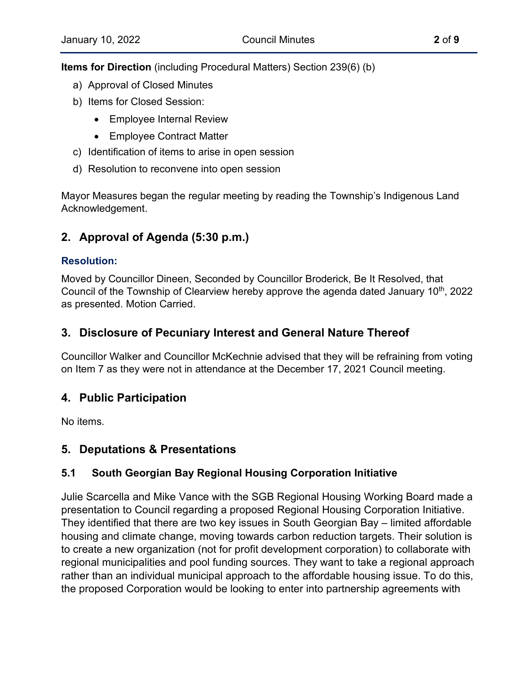**Items for Direction** (including Procedural Matters) Section 239(6) (b)

- a) Approval of Closed Minutes
- b) Items for Closed Session:
	- Employee Internal Review
	- Employee Contract Matter
- c) Identification of items to arise in open session
- d) Resolution to reconvene into open session

Mayor Measures began the regular meeting by reading the Township's Indigenous Land Acknowledgement.

# **2. Approval of Agenda (5:30 p.m.)**

### **Resolution:**

Moved by Councillor Dineen, Seconded by Councillor Broderick, Be It Resolved, that Council of the Township of Clearview hereby approve the agenda dated January 10<sup>th</sup>, 2022 as presented. Motion Carried.

# **3. Disclosure of Pecuniary Interest and General Nature Thereof**

Councillor Walker and Councillor McKechnie advised that they will be refraining from voting on Item 7 as they were not in attendance at the December 17, 2021 Council meeting.

# **4. Public Participation**

No items.

# **5. Deputations & Presentations**

# **5.1 South Georgian Bay Regional Housing Corporation Initiative**

Julie Scarcella and Mike Vance with the SGB Regional Housing Working Board made a presentation to Council regarding a proposed Regional Housing Corporation Initiative. They identified that there are two key issues in South Georgian Bay – limited affordable housing and climate change, moving towards carbon reduction targets. Their solution is to create a new organization (not for profit development corporation) to collaborate with regional municipalities and pool funding sources. They want to take a regional approach rather than an individual municipal approach to the affordable housing issue. To do this, the proposed Corporation would be looking to enter into partnership agreements with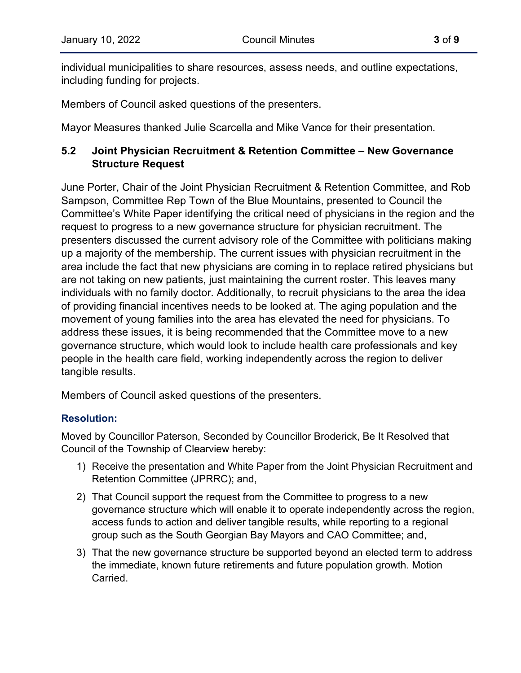individual municipalities to share resources, assess needs, and outline expectations, including funding for projects.

Members of Council asked questions of the presenters.

Mayor Measures thanked Julie Scarcella and Mike Vance for their presentation.

# **5.2 Joint Physician Recruitment & Retention Committee – New Governance Structure Request**

June Porter, Chair of the Joint Physician Recruitment & Retention Committee, and Rob Sampson, Committee Rep Town of the Blue Mountains, presented to Council the Committee's White Paper identifying the critical need of physicians in the region and the request to progress to a new governance structure for physician recruitment. The presenters discussed the current advisory role of the Committee with politicians making up a majority of the membership. The current issues with physician recruitment in the area include the fact that new physicians are coming in to replace retired physicians but are not taking on new patients, just maintaining the current roster. This leaves many individuals with no family doctor. Additionally, to recruit physicians to the area the idea of providing financial incentives needs to be looked at. The aging population and the movement of young families into the area has elevated the need for physicians. To address these issues, it is being recommended that the Committee move to a new governance structure, which would look to include health care professionals and key people in the health care field, working independently across the region to deliver tangible results.

Members of Council asked questions of the presenters.

# **Resolution:**

Moved by Councillor Paterson, Seconded by Councillor Broderick, Be It Resolved that Council of the Township of Clearview hereby:

- 1) Receive the presentation and White Paper from the Joint Physician Recruitment and Retention Committee (JPRRC); and,
- 2) That Council support the request from the Committee to progress to a new governance structure which will enable it to operate independently across the region, access funds to action and deliver tangible results, while reporting to a regional group such as the South Georgian Bay Mayors and CAO Committee; and,
- 3) That the new governance structure be supported beyond an elected term to address the immediate, known future retirements and future population growth. Motion **Carried**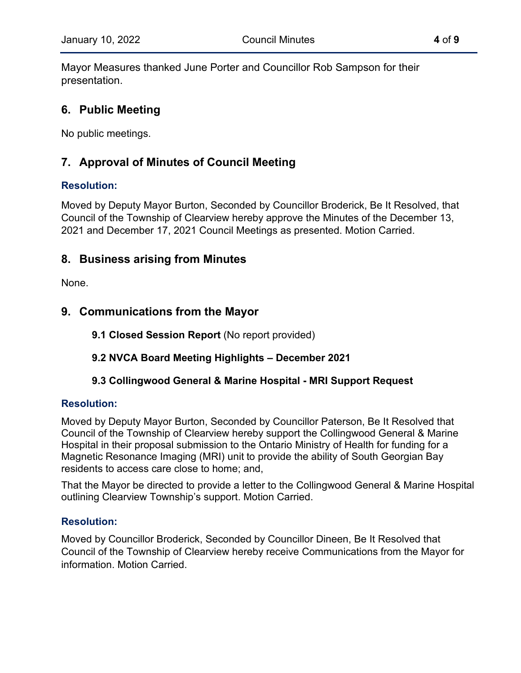Mayor Measures thanked June Porter and Councillor Rob Sampson for their presentation.

# **6. Public Meeting**

No public meetings.

# **7. Approval of Minutes of Council Meeting**

# **Resolution:**

Moved by Deputy Mayor Burton, Seconded by Councillor Broderick, Be It Resolved, that Council of the Township of Clearview hereby approve the Minutes of the December 13, 2021 and December 17, 2021 Council Meetings as presented. Motion Carried.

# **8. Business arising from Minutes**

None.

# **9. Communications from the Mayor**

**9.1 Closed Session Report** (No report provided)

# **9.2 NVCA Board Meeting Highlights – December 2021**

# **9.3 Collingwood General & Marine Hospital - MRI Support Request**

### **Resolution:**

Moved by Deputy Mayor Burton, Seconded by Councillor Paterson, Be It Resolved that Council of the Township of Clearview hereby support the Collingwood General & Marine Hospital in their proposal submission to the Ontario Ministry of Health for funding for a Magnetic Resonance Imaging (MRI) unit to provide the ability of South Georgian Bay residents to access care close to home; and,

That the Mayor be directed to provide a letter to the Collingwood General & Marine Hospital outlining Clearview Township's support. Motion Carried.

### **Resolution:**

Moved by Councillor Broderick, Seconded by Councillor Dineen, Be It Resolved that Council of the Township of Clearview hereby receive Communications from the Mayor for information. Motion Carried.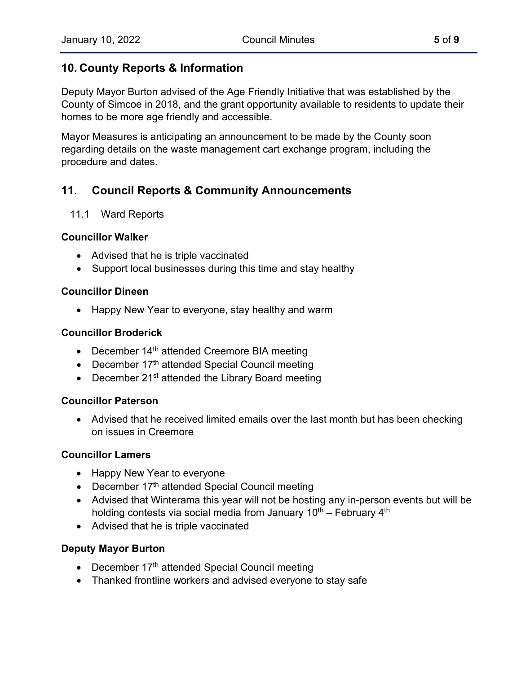# **10. County Reports & Information**

Deputy Mayor Burton advised of the Age Friendly Initiative that was established by the County of Simcoe in 2018, and the grant opportunity available to residents to update their homes to be more age friendly and accessible.

Mayor Measures is anticipating an announcement to be made by the County soon regarding details on the waste management cart exchange program, including the procedure and dates.

# **11. Council Reports & Community Announcements**

### 11.1 Ward Reports

### **Councillor Walker**

- Advised that he is triple vaccinated
- Support local businesses during this time and stay healthy

### **Councillor Dineen**

• Happy New Year to everyone, stay healthy and warm

### **Councillor Broderick**

- December  $14<sup>th</sup>$  attended Creemore BIA meeting
- December  $17<sup>th</sup>$  attended Special Council meeting
- December 21<sup>st</sup> attended the Library Board meeting

#### **Councillor Paterson**

• Advised that he received limited emails over the last month but has been checking on issues in Creemore

### **Councillor Lamers**

- Happy New Year to everyone
- December 17<sup>th</sup> attended Special Council meeting
- Advised that Winterama this year will not be hosting any in-person events but will be holding contests via social media from January  $10^{th}$  – February  $4^{th}$
- Advised that he is triple vaccinated

### **Deputy Mayor Burton**

- December  $17<sup>th</sup>$  attended Special Council meeting
- Thanked frontline workers and advised everyone to stay safe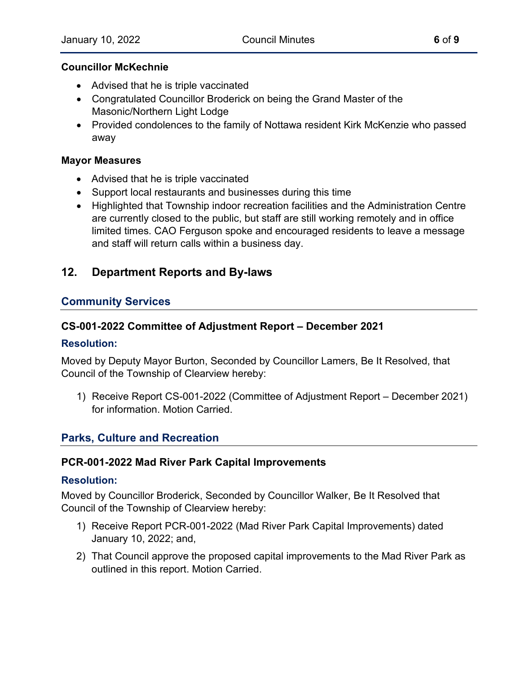#### **Councillor McKechnie**

- Advised that he is triple vaccinated
- Congratulated Councillor Broderick on being the Grand Master of the Masonic/Northern Light Lodge
- Provided condolences to the family of Nottawa resident Kirk McKenzie who passed away

#### **Mayor Measures**

- Advised that he is triple vaccinated
- Support local restaurants and businesses during this time
- Highlighted that Township indoor recreation facilities and the Administration Centre are currently closed to the public, but staff are still working remotely and in office limited times. CAO Ferguson spoke and encouraged residents to leave a message and staff will return calls within a business day.

# **12. Department Reports and By-laws**

#### **Community Services**

#### **CS-001-2022 Committee of Adjustment Report – December 2021**

#### **Resolution:**

Moved by Deputy Mayor Burton, Seconded by Councillor Lamers, Be It Resolved, that Council of the Township of Clearview hereby:

1) Receive Report CS-001-2022 (Committee of Adjustment Report – December 2021) for information. Motion Carried.

#### **Parks, Culture and Recreation**

#### **PCR-001-2022 Mad River Park Capital Improvements**

#### **Resolution:**

Moved by Councillor Broderick, Seconded by Councillor Walker, Be It Resolved that Council of the Township of Clearview hereby:

- 1) Receive Report PCR-001-2022 (Mad River Park Capital Improvements) dated January 10, 2022; and,
- 2) That Council approve the proposed capital improvements to the Mad River Park as outlined in this report. Motion Carried.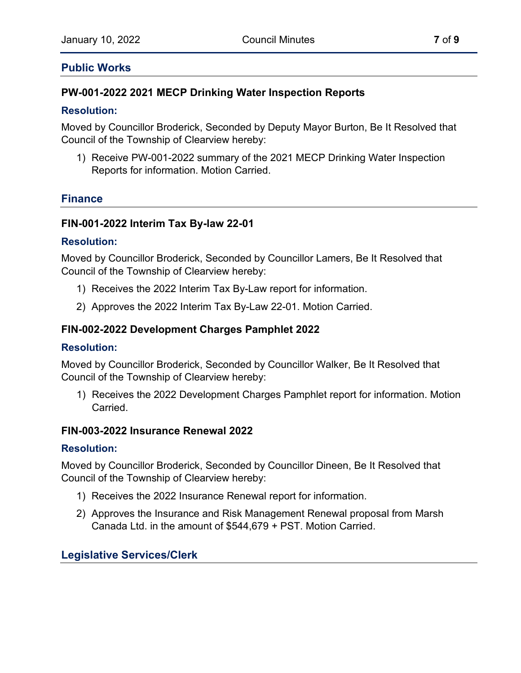### **Public Works**

### **PW-001-2022 2021 MECP Drinking Water Inspection Reports**

#### **Resolution:**

Moved by Councillor Broderick, Seconded by Deputy Mayor Burton, Be It Resolved that Council of the Township of Clearview hereby:

1) Receive PW-001-2022 summary of the 2021 MECP Drinking Water Inspection Reports for information. Motion Carried.

### **Finance**

### **FIN-001-2022 Interim Tax By-law 22-01**

#### **Resolution:**

Moved by Councillor Broderick, Seconded by Councillor Lamers, Be It Resolved that Council of the Township of Clearview hereby:

- 1) Receives the 2022 Interim Tax By-Law report for information.
- 2) Approves the 2022 Interim Tax By-Law 22-01. Motion Carried.

### **FIN-002-2022 Development Charges Pamphlet 2022**

#### **Resolution:**

Moved by Councillor Broderick, Seconded by Councillor Walker, Be It Resolved that Council of the Township of Clearview hereby:

1) Receives the 2022 Development Charges Pamphlet report for information. Motion Carried.

#### **FIN-003-2022 Insurance Renewal 2022**

#### **Resolution:**

Moved by Councillor Broderick, Seconded by Councillor Dineen, Be It Resolved that Council of the Township of Clearview hereby:

- 1) Receives the 2022 Insurance Renewal report for information.
- 2) Approves the Insurance and Risk Management Renewal proposal from Marsh Canada Ltd. in the amount of \$544,679 + PST. Motion Carried.

# **Legislative Services/Clerk**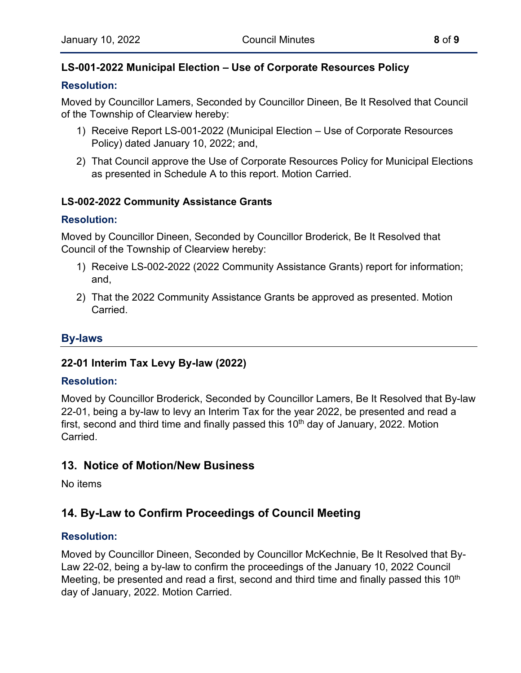# **LS-001-2022 Municipal Election – Use of Corporate Resources Policy**

### **Resolution:**

Moved by Councillor Lamers, Seconded by Councillor Dineen, Be It Resolved that Council of the Township of Clearview hereby:

- 1) Receive Report LS-001-2022 (Municipal Election Use of Corporate Resources Policy) dated January 10, 2022; and,
- 2) That Council approve the Use of Corporate Resources Policy for Municipal Elections as presented in Schedule A to this report. Motion Carried.

### **LS-002-2022 Community Assistance Grants**

### **Resolution:**

Moved by Councillor Dineen, Seconded by Councillor Broderick, Be It Resolved that Council of the Township of Clearview hereby:

- 1) Receive LS-002-2022 (2022 Community Assistance Grants) report for information; and,
- 2) That the 2022 Community Assistance Grants be approved as presented. Motion Carried.

# **By-laws**

### **22-01 Interim Tax Levy By-law (2022)**

### **Resolution:**

Moved by Councillor Broderick, Seconded by Councillor Lamers, Be It Resolved that By-law 22-01, being a by-law to levy an Interim Tax for the year 2022, be presented and read a first, second and third time and finally passed this  $10<sup>th</sup>$  day of January, 2022. Motion Carried.

# **13. Notice of Motion/New Business**

No items

# **14. By-Law to Confirm Proceedings of Council Meeting**

### **Resolution:**

Moved by Councillor Dineen, Seconded by Councillor McKechnie, Be It Resolved that By-Law 22-02, being a by-law to confirm the proceedings of the January 10, 2022 Council Meeting, be presented and read a first, second and third time and finally passed this  $10<sup>th</sup>$ day of January, 2022. Motion Carried.